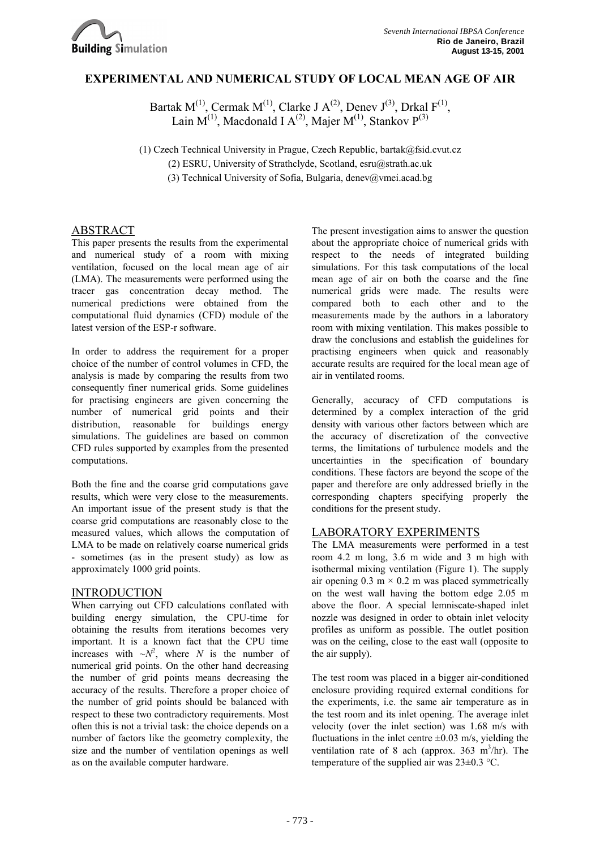

## **EXPERIMENTAL AND NUMERICAL STUDY OF LOCAL MEAN AGE OF AIR**

Bartak M<sup>(1)</sup>, Cermak M<sup>(1)</sup>, Clarke J A<sup>(2)</sup>, Denev J<sup>(3)</sup>, Drkal F<sup>(1)</sup>, Lain  $M^{(1)}$ , Macdonald I  $A^{(2)}$ , Majer  $M^{(1)}$ , Stankov  $P^{(3)}$ 

(1) Czech Technical University in Prague, Czech Republic, bartak@fsid.cvut.cz (2) ESRU, University of Strathclyde, Scotland, esru@strath.ac.uk

(3) Technical University of Sofia, Bulgaria, denev@vmei.acad.bg

### ABSTRACT

This paper presents the results from the experimental and numerical study of a room with mixing ventilation, focused on the local mean age of air (LMA). The measurements were performed using the tracer gas concentration decay method. The numerical predictions were obtained from the computational fluid dynamics (CFD) module of the latest version of the ESP-r software.

In order to address the requirement for a proper choice of the number of control volumes in CFD, the analysis is made by comparing the results from two consequently finer numerical grids. Some guidelines for practising engineers are given concerning the number of numerical grid points and their distribution, reasonable for buildings energy simulations. The guidelines are based on common CFD rules supported by examples from the presented computations.

Both the fine and the coarse grid computations gave results, which were very close to the measurements. An important issue of the present study is that the coarse grid computations are reasonably close to the measured values, which allows the computation of LMA to be made on relatively coarse numerical grids - sometimes (as in the present study) as low as approximately 1000 grid points.

#### INTRODUCTION

When carrying out CFD calculations conflated with building energy simulation, the CPU-time for obtaining the results from iterations becomes very important. It is a known fact that the CPU time increases with  $\sim N^2$ , where *N* is the number of numerical grid points. On the other hand decreasing the number of grid points means decreasing the accuracy of the results. Therefore a proper choice of the number of grid points should be balanced with respect to these two contradictory requirements. Most often this is not a trivial task: the choice depends on a number of factors like the geometry complexity, the size and the number of ventilation openings as well as on the available computer hardware.

The present investigation aims to answer the question about the appropriate choice of numerical grids with respect to the needs of integrated building simulations. For this task computations of the local mean age of air on both the coarse and the fine numerical grids were made. The results were compared both to each other and to the measurements made by the authors in a laboratory room with mixing ventilation. This makes possible to draw the conclusions and establish the guidelines for practising engineers when quick and reasonably accurate results are required for the local mean age of air in ventilated rooms.

Generally, accuracy of CFD computations is determined by a complex interaction of the grid density with various other factors between which are the accuracy of discretization of the convective terms, the limitations of turbulence models and the uncertainties in the specification of boundary conditions. These factors are beyond the scope of the paper and therefore are only addressed briefly in the corresponding chapters specifying properly the conditions for the present study.

### LABORATORY EXPERIMENTS

The LMA measurements were performed in a test room 4.2 m long, 3.6 m wide and 3 m high with isothermal mixing ventilation (Figure 1). The supply air opening  $0.3 \text{ m} \times 0.2 \text{ m}$  was placed symmetrically on the west wall having the bottom edge 2.05 m above the floor. A special lemniscate-shaped inlet nozzle was designed in order to obtain inlet velocity profiles as uniform as possible. The outlet position was on the ceiling, close to the east wall (opposite to the air supply).

The test room was placed in a bigger air-conditioned enclosure providing required external conditions for the experiments, i.e. the same air temperature as in the test room and its inlet opening. The average inlet velocity (over the inlet section) was 1.68 m/s with fluctuations in the inlet centre  $\pm 0.03$  m/s, yielding the ventilation rate of 8 ach (approx.  $363 \text{ m}^3/\text{hr}$ ). The temperature of the supplied air was  $23\pm0.3$  °C.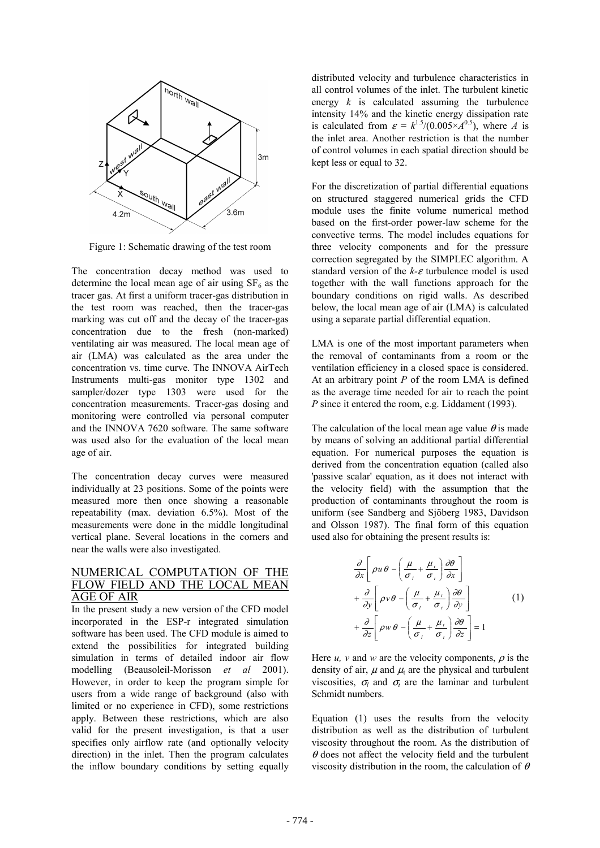

Figure 1: Schematic drawing of the test room

The concentration decay method was used to determine the local mean age of air using  $SF<sub>6</sub>$  as the tracer gas. At first a uniform tracer-gas distribution in the test room was reached, then the tracer-gas marking was cut off and the decay of the tracer-gas concentration due to the fresh (non-marked) ventilating air was measured. The local mean age of air (LMA) was calculated as the area under the concentration vs. time curve. The INNOVA AirTech Instruments multi-gas monitor type 1302 and sampler/dozer type 1303 were used for the concentration measurements. Tracer-gas dosing and monitoring were controlled via personal computer and the INNOVA 7620 software. The same software was used also for the evaluation of the local mean age of air.

The concentration decay curves were measured individually at 23 positions. Some of the points were measured more then once showing a reasonable repeatability (max. deviation 6.5%). Most of the measurements were done in the middle longitudinal vertical plane. Several locations in the corners and near the walls were also investigated.

### NUMERICAL COMPUTATION OF THE FLOW FIELD AND THE LOCAL MEAN AGE OF AIR

In the present study a new version of the CFD model incorporated in the ESP-r integrated simulation software has been used. The CFD module is aimed to extend the possibilities for integrated building simulation in terms of detailed indoor air flow modelling (Beausoleil-Morisson *et al* 2001). However, in order to keep the program simple for users from a wide range of background (also with limited or no experience in CFD), some restrictions apply. Between these restrictions, which are also valid for the present investigation, is that a user specifies only airflow rate (and optionally velocity direction) in the inlet. Then the program calculates the inflow boundary conditions by setting equally

distributed velocity and turbulence characteristics in all control volumes of the inlet. The turbulent kinetic energy *k* is calculated assuming the turbulence intensity 14% and the kinetic energy dissipation rate is calculated from  $\varepsilon = k^{1.5}/(0.005 \times A^{0.5})$ , where *A* is the inlet area. Another restriction is that the number of control volumes in each spatial direction should be kept less or equal to 32.

For the discretization of partial differential equations on structured staggered numerical grids the CFD module uses the finite volume numerical method based on the first-order power-law scheme for the convective terms. The model includes equations for three velocity components and for the pressure correction segregated by the SIMPLEC algorithm. A standard version of the *k-*ε turbulence model is used together with the wall functions approach for the boundary conditions on rigid walls. As described below, the local mean age of air (LMA) is calculated using a separate partial differential equation.

LMA is one of the most important parameters when the removal of contaminants from a room or the ventilation efficiency in a closed space is considered. At an arbitrary point *P* of the room LMA is defined as the average time needed for air to reach the point *P* since it entered the room, e.g. Liddament (1993).

The calculation of the local mean age value  $\theta$  is made by means of solving an additional partial differential equation. For numerical purposes the equation is derived from the concentration equation (called also 'passive scalar' equation, as it does not interact with the velocity field) with the assumption that the production of contaminants throughout the room is uniform (see Sandberg and Sjöberg 1983, Davidson and Olsson 1987). The final form of this equation used also for obtaining the present results is:

$$
\frac{\partial}{\partial x} \left[ \rho u \theta - \left( \frac{\mu}{\sigma_i} + \frac{\mu_i}{\sigma_i} \right) \frac{\partial \theta}{\partial x} \right] \n+ \frac{\partial}{\partial y} \left[ \rho v \theta - \left( \frac{\mu}{\sigma_i} + \frac{\mu_i}{\sigma_i} \right) \frac{\partial \theta}{\partial y} \right] \n+ \frac{\partial}{\partial z} \left[ \rho w \theta - \left( \frac{\mu}{\sigma_i} + \frac{\mu_i}{\sigma_i} \right) \frac{\partial \theta}{\partial z} \right] = 1
$$
\n(1)

Here  $u$ ,  $v$  and  $w$  are the velocity components,  $\rho$  is the density of air,  $\mu$  and  $\mu_t$  are the physical and turbulent viscosities,  $\sigma_l$  and  $\sigma_t$  are the laminar and turbulent Schmidt numbers.

Equation (1) uses the results from the velocity distribution as well as the distribution of turbulent viscosity throughout the room. As the distribution of  $\theta$  does not affect the velocity field and the turbulent viscosity distribution in the room, the calculation of  $\theta$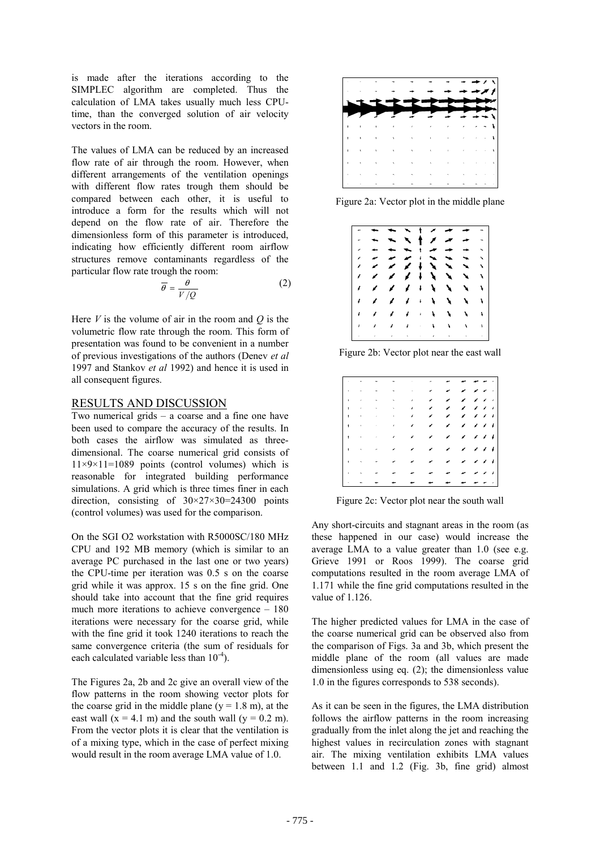is made after the iterations according to the SIMPLEC algorithm are completed. Thus the calculation of LMA takes usually much less CPUtime, than the converged solution of air velocity vectors in the room.

The values of LMA can be reduced by an increased flow rate of air through the room. However, when different arrangements of the ventilation openings with different flow rates trough them should be compared between each other, it is useful to introduce a form for the results which will not depend on the flow rate of air. Therefore the dimensionless form of this parameter is introduced, indicating how efficiently different room airflow structures remove contaminants regardless of the particular flow rate trough the room:

$$
\overline{\theta} = \frac{\theta}{V/Q} \tag{2}
$$

Here *V* is the volume of air in the room and *Q* is the volumetric flow rate through the room. This form of presentation was found to be convenient in a number of previous investigations of the authors (Denev *et al* 1997 and Stankov *et al* 1992) and hence it is used in all consequent figures.

### RESULTS AND DISCUSSION

Two numerical grids – a coarse and a fine one have been used to compare the accuracy of the results. In both cases the airflow was simulated as threedimensional. The coarse numerical grid consists of  $11\times9\times11=1089$  points (control volumes) which is reasonable for integrated building performance simulations. A grid which is three times finer in each direction, consisting of 30×27×30=24300 points (control volumes) was used for the comparison.

On the SGI O2 workstation with R5000SC/180 MHz CPU and 192 MB memory (which is similar to an average PC purchased in the last one or two years) the CPU-time per iteration was 0.5 s on the coarse grid while it was approx. 15 s on the fine grid. One should take into account that the fine grid requires much more iterations to achieve convergence – 180 iterations were necessary for the coarse grid, while with the fine grid it took 1240 iterations to reach the same convergence criteria (the sum of residuals for each calculated variable less than  $10^{-4}$ ).

The Figures 2a, 2b and 2c give an overall view of the flow patterns in the room showing vector plots for the coarse grid in the middle plane ( $y = 1.8$  m), at the east wall  $(x = 4.1 \text{ m})$  and the south wall  $(y = 0.2 \text{ m})$ . From the vector plots it is clear that the ventilation is of a mixing type, which in the case of perfect mixing would result in the room average LMA value of 1.0.



Figure 2a: Vector plot in the middle plane

|   |                                                                            |   | $\sim$ + $\times$        |                      |                             |                       |                                                                                                                                                                                                                                                                                                                                                                                                                              |               |
|---|----------------------------------------------------------------------------|---|--------------------------|----------------------|-----------------------------|-----------------------|------------------------------------------------------------------------------------------------------------------------------------------------------------------------------------------------------------------------------------------------------------------------------------------------------------------------------------------------------------------------------------------------------------------------------|---------------|
|   | $\overline{\phantom{0}}$                                                   | ∼ |                          |                      | <b>N</b> 1 /                | ▰                     | ≁                                                                                                                                                                                                                                                                                                                                                                                                                            |               |
|   |                                                                            | ÷ | $\overline{\phantom{a}}$ | $\ddot{\phantom{1}}$ | ≁                           | ∽                     |                                                                                                                                                                                                                                                                                                                                                                                                                              |               |
|   |                                                                            |   | ≁                        | $\ddot{\phantom{1}}$ | ∼                           | ∼                     | ∼                                                                                                                                                                                                                                                                                                                                                                                                                            |               |
| ı | ✔                                                                          | ◢ |                          |                      | $\times$ + $\times$         | $\blacktriangleright$ | $\overline{\phantom{a}}$                                                                                                                                                                                                                                                                                                                                                                                                     | x             |
| ı | ✔                                                                          | ✔ |                          |                      | $\lambda + \lambda$         | ↘                     | ↘                                                                                                                                                                                                                                                                                                                                                                                                                            | ¥             |
|   | v                                                                          | v | $\sqrt{2}$               |                      | $+$ $\lambda$               | ↘                     | $\blacktriangleright$                                                                                                                                                                                                                                                                                                                                                                                                        | ¥             |
|   |                                                                            | v | $\sqrt{2}$               |                      | $+$ $\lambda$               | $\mathbf{X}_i$        | N.                                                                                                                                                                                                                                                                                                                                                                                                                           | ¥             |
|   | i                                                                          |   | $\sqrt{2}$               |                      | $\rightarrow$ $\rightarrow$ | $\mathbf{V}$          | $\mathbf{v}$                                                                                                                                                                                                                                                                                                                                                                                                                 | $\rightarrow$ |
|   | $\sqrt{2}$                                                                 |   |                          |                      |                             |                       | $\mathbf{A} = \mathbf{A} + \mathbf{A} + \mathbf{A} + \mathbf{A} + \mathbf{A} + \mathbf{A} + \mathbf{A} + \mathbf{A} + \mathbf{A} + \mathbf{A} + \mathbf{A} + \mathbf{A} + \mathbf{A} + \mathbf{A} + \mathbf{A} + \mathbf{A} + \mathbf{A} + \mathbf{A} + \mathbf{A} + \mathbf{A} + \mathbf{A} + \mathbf{A} + \mathbf{A} + \mathbf{A} + \mathbf{A} + \mathbf{A} + \mathbf{A} + \mathbf{A} + \mathbf{A} + \mathbf{A} + \mathbf$ |               |
|   | the control of the control of the control of the control of the control of |   |                          |                      |                             |                       |                                                                                                                                                                                                                                                                                                                                                                                                                              |               |

Figure 2b: Vector plot near the east wall

|  |  | س سے اپنے پر جاتا ہے جاتا <mark>ہ</mark>                                                                                                                                                                                                                                                                                                                                                                                                                                                                                                                                                                                                                                |              |              | $\rightarrow$ $\rightarrow$ $\rightarrow$ |                             |
|--|--|-------------------------------------------------------------------------------------------------------------------------------------------------------------------------------------------------------------------------------------------------------------------------------------------------------------------------------------------------------------------------------------------------------------------------------------------------------------------------------------------------------------------------------------------------------------------------------------------------------------------------------------------------------------------------|--------------|--------------|-------------------------------------------|-----------------------------|
|  |  | $\left\{ \left\vert \left\langle \cdot \right\rangle \right\vert \left\langle \cdot \right\rangle \right\vert \left\langle \cdot \right\rangle \left\langle \cdot \right\rangle \right\} =\left\{ \left\langle \cdot \right\rangle \left\langle \cdot \right\rangle \left\langle \cdot \right\rangle \right\} =\left\{ \left\langle \cdot \right\rangle \left\langle \cdot \right\rangle \right\} =\left\{ \left\langle \cdot \right\rangle \left\langle \cdot \right\rangle \right\} =\left\{ \left\langle \cdot \right\rangle \left\langle \cdot \right\rangle \right\} =\left\{ \left\langle \cdot \right\rangle \left\langle \cdot \right\rangle \right\} =\left\{$ |              |              |                                           | $\sim$                      |
|  |  | $\left\{ \left\langle \mathcal{F}_{\alpha} \left( \mathcal{F}_{\alpha} \right) \right\rangle \left\langle \mathcal{F}_{\alpha} \left( \mathcal{F}_{\alpha} \right) \right\rangle \right\} \left\langle \mathcal{F}_{\alpha} \left( \mathcal{F}_{\alpha} \right) \right\rangle \left\langle \mathcal{F}_{\alpha} \left( \mathcal{F}_{\alpha} \right) \right\rangle \right\}$                                                                                                                                                                                                                                                                                             |              |              | v                                         | $\mathscr{S}$ $\mathscr{S}$ |
|  |  |                                                                                                                                                                                                                                                                                                                                                                                                                                                                                                                                                                                                                                                                         | ◢            |              |                                           | メメノト                        |
|  |  |                                                                                                                                                                                                                                                                                                                                                                                                                                                                                                                                                                                                                                                                         |              | $\mathbf{z}$ |                                           | メメリ                         |
|  |  |                                                                                                                                                                                                                                                                                                                                                                                                                                                                                                                                                                                                                                                                         |              | ×.           |                                           | $\ell \neq \ell$            |
|  |  |                                                                                                                                                                                                                                                                                                                                                                                                                                                                                                                                                                                                                                                                         | ↙            | $\mathbb{Z}$ |                                           | メメリ                         |
|  |  | $\left\vert \cdot\right\rangle$ , where the contract of $\left\vert \cdot\right\rangle$                                                                                                                                                                                                                                                                                                                                                                                                                                                                                                                                                                                 | $\mathbb{Z}$ | x            |                                           | メメモ                         |
|  |  | $\vert x \vert > \vert x \vert > \vert x \vert \vert \vert x \vert$                                                                                                                                                                                                                                                                                                                                                                                                                                                                                                                                                                                                     |              |              |                                           | $\left  \cdot \right $      |
|  |  |                                                                                                                                                                                                                                                                                                                                                                                                                                                                                                                                                                                                                                                                         |              |              |                                           | $\mathscr{L}$ $\mathscr{N}$ |
|  |  |                                                                                                                                                                                                                                                                                                                                                                                                                                                                                                                                                                                                                                                                         |              |              |                                           | $\sim$                      |

Figure 2c: Vector plot near the south wall

Any short-circuits and stagnant areas in the room (as these happened in our case) would increase the average LMA to a value greater than 1.0 (see e.g. Grieve 1991 or Roos 1999). The coarse grid computations resulted in the room average LMA of 1.171 while the fine grid computations resulted in the value of 1.126.

The higher predicted values for LMA in the case of the coarse numerical grid can be observed also from the comparison of Figs. 3a and 3b, which present the middle plane of the room (all values are made dimensionless using eq. (2); the dimensionless value 1.0 in the figures corresponds to 538 seconds).

As it can be seen in the figures, the LMA distribution follows the airflow patterns in the room increasing gradually from the inlet along the jet and reaching the highest values in recirculation zones with stagnant air. The mixing ventilation exhibits LMA values between 1.1 and 1.2 (Fig. 3b, fine grid) almost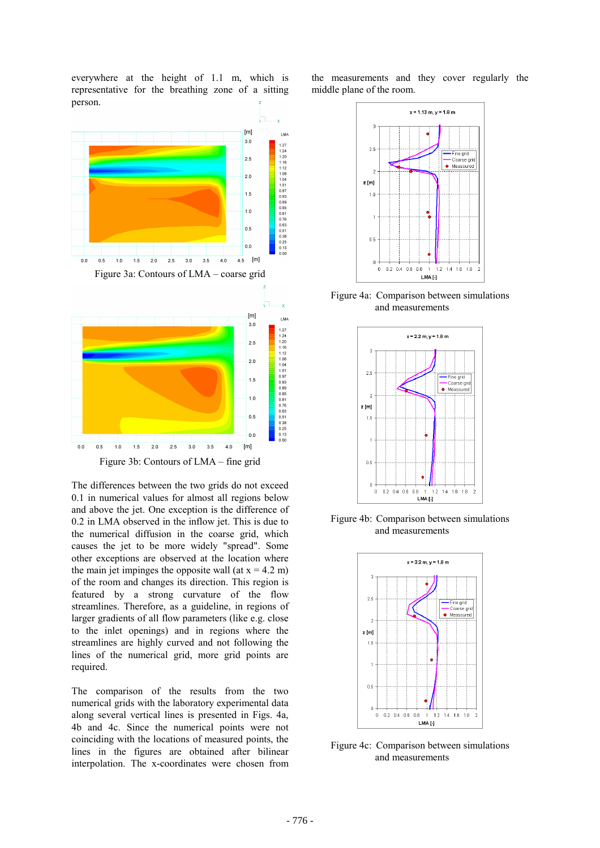everywhere at the height of 1.1 m, which is representative for the breathing zone of a sitting person.



Figure 3a: Contours of LMA – coarse grid



The differences between the two grids do not exceed 0.1 in numerical values for almost all regions below and above the jet. One exception is the difference of 0.2 in LMA observed in the inflow jet. This is due to the numerical diffusion in the coarse grid, which causes the jet to be more widely "spread". Some other exceptions are observed at the location where the main jet impinges the opposite wall (at  $x = 4.2$  m) of the room and changes its direction. This region is featured by a strong curvature of the flow streamlines. Therefore, as a guideline, in regions of larger gradients of all flow parameters (like e.g. close to the inlet openings) and in regions where the streamlines are highly curved and not following the lines of the numerical grid, more grid points are required.

The comparison of the results from the two numerical grids with the laboratory experimental data along several vertical lines is presented in Figs. 4a, 4b and 4c. Since the numerical points were not coinciding with the locations of measured points, the lines in the figures are obtained after bilinear interpolation. The x-coordinates were chosen from

the measurements and they cover regularly the middle plane of the room.



Figure 4a: Comparison between simulations and measurements



Figure 4b: Comparison between simulations and measurements



Figure 4c: Comparison between simulations and measurements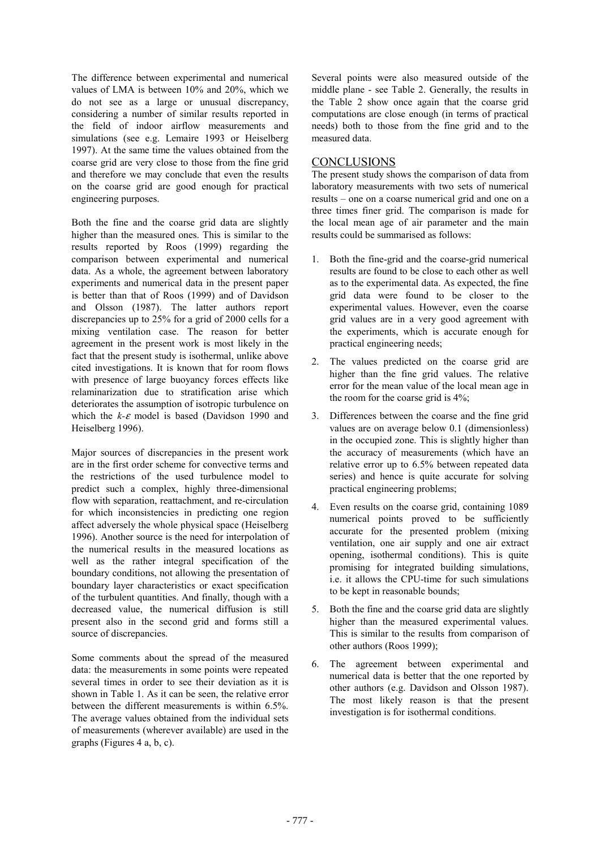The difference between experimental and numerical values of LMA is between 10% and 20%, which we do not see as a large or unusual discrepancy, considering a number of similar results reported in the field of indoor airflow measurements and simulations (see e.g. Lemaire 1993 or Heiselberg 1997). At the same time the values obtained from the coarse grid are very close to those from the fine grid and therefore we may conclude that even the results on the coarse grid are good enough for practical engineering purposes.

Both the fine and the coarse grid data are slightly higher than the measured ones. This is similar to the results reported by Roos (1999) regarding the comparison between experimental and numerical data. As a whole, the agreement between laboratory experiments and numerical data in the present paper is better than that of Roos (1999) and of Davidson and Olsson (1987). The latter authors report discrepancies up to 25% for a grid of 2000 cells for a mixing ventilation case. The reason for better agreement in the present work is most likely in the fact that the present study is isothermal, unlike above cited investigations. It is known that for room flows with presence of large buoyancy forces effects like relaminarization due to stratification arise which deteriorates the assumption of isotropic turbulence on which the *k-*ε model is based (Davidson 1990 and Heiselberg 1996).

Major sources of discrepancies in the present work are in the first order scheme for convective terms and the restrictions of the used turbulence model to predict such a complex, highly three-dimensional flow with separation, reattachment, and re-circulation for which inconsistencies in predicting one region affect adversely the whole physical space (Heiselberg 1996). Another source is the need for interpolation of the numerical results in the measured locations as well as the rather integral specification of the boundary conditions, not allowing the presentation of boundary layer characteristics or exact specification of the turbulent quantities. And finally, though with a decreased value, the numerical diffusion is still present also in the second grid and forms still a source of discrepancies.

Some comments about the spread of the measured data: the measurements in some points were repeated several times in order to see their deviation as it is shown in Table 1. As it can be seen, the relative error between the different measurements is within 6.5%. The average values obtained from the individual sets of measurements (wherever available) are used in the graphs (Figures 4 a, b, c).

Several points were also measured outside of the middle plane - see Table 2. Generally, the results in the Table 2 show once again that the coarse grid computations are close enough (in terms of practical needs) both to those from the fine grid and to the measured data.

## **CONCLUSIONS**

The present study shows the comparison of data from laboratory measurements with two sets of numerical results – one on a coarse numerical grid and one on a three times finer grid. The comparison is made for the local mean age of air parameter and the main results could be summarised as follows:

- 1. Both the fine-grid and the coarse-grid numerical results are found to be close to each other as well as to the experimental data. As expected, the fine grid data were found to be closer to the experimental values. However, even the coarse grid values are in a very good agreement with the experiments, which is accurate enough for practical engineering needs;
- 2. The values predicted on the coarse grid are higher than the fine grid values. The relative error for the mean value of the local mean age in the room for the coarse grid is 4%;
- 3. Differences between the coarse and the fine grid values are on average below 0.1 (dimensionless) in the occupied zone. This is slightly higher than the accuracy of measurements (which have an relative error up to 6.5% between repeated data series) and hence is quite accurate for solving practical engineering problems;
- 4. Even results on the coarse grid, containing 1089 numerical points proved to be sufficiently accurate for the presented problem (mixing ventilation, one air supply and one air extract opening, isothermal conditions). This is quite promising for integrated building simulations, i.e. it allows the CPU-time for such simulations to be kept in reasonable bounds;
- 5. Both the fine and the coarse grid data are slightly higher than the measured experimental values. This is similar to the results from comparison of other authors (Roos 1999);
- 6. The agreement between experimental and numerical data is better that the one reported by other authors (e.g. Davidson and Olsson 1987). The most likely reason is that the present investigation is for isothermal conditions.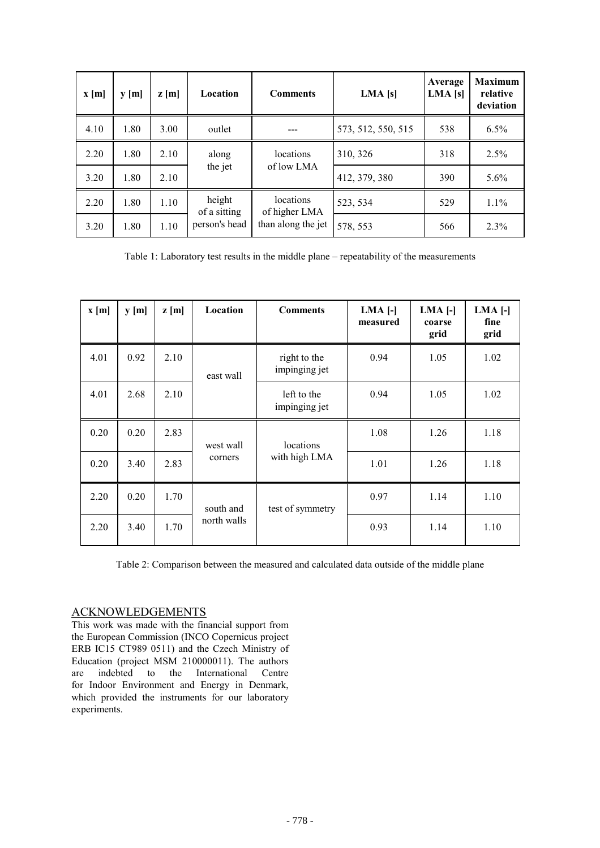| x[m] | y[m] | $z$ [m] | Location               | <b>Comments</b>                                  | LMA[s]             | Average<br>LMA <sub>[s]</sub> | <b>Maximum</b><br>relative<br>deviation |
|------|------|---------|------------------------|--------------------------------------------------|--------------------|-------------------------------|-----------------------------------------|
| 4.10 | 1.80 | 3.00    | outlet                 |                                                  | 573, 512, 550, 515 | 538                           | 6.5%                                    |
| 2.20 | 1.80 | 2.10    | along                  | locations<br>of low LMA                          | 310, 326           | 318                           | 2.5%                                    |
| 3.20 | 1.80 | 2.10    | the jet                |                                                  | 412, 379, 380      | 390                           | $5.6\%$                                 |
| 2.20 | 1.80 | 1.10    | height<br>of a sitting | locations<br>of higher LMA<br>than along the jet | 523, 534           | 529                           | $1.1\%$                                 |
| 3.20 | 1.80 | 1.10    | person's head          |                                                  | 578, 553           | 566                           | 2.3%                                    |

Table 1: Laboratory test results in the middle plane – repeatability of the measurements

| x[m] | y[m] | z[m] | Location    | <b>Comments</b>               | $LMA$ [-]<br>measured | $LMA$ [-]<br>coarse<br>grid | $LMA$ [-]<br>fine<br>grid |
|------|------|------|-------------|-------------------------------|-----------------------|-----------------------------|---------------------------|
| 4.01 | 0.92 | 2.10 | east wall   | right to the<br>impinging jet | 0.94                  | 1.05                        | 1.02                      |
| 4.01 | 2.68 | 2.10 |             | left to the<br>impinging jet  | 0.94                  | 1.05                        | 1.02                      |
| 0.20 | 0.20 | 2.83 | west wall   | locations<br>with high LMA    | 1.08                  | 1.26                        | 1.18                      |
| 0.20 | 3.40 | 2.83 | corners     |                               | 1.01                  | 1.26                        | 1.18                      |
| 2.20 | 0.20 | 1.70 | south and   | test of symmetry              | 0.97                  | 1.14                        | 1.10                      |
| 2.20 | 3.40 | 1.70 | north walls |                               | 0.93                  | 1.14                        | 1.10                      |

Table 2: Comparison between the measured and calculated data outside of the middle plane

## ACKNOWLEDGEMENTS

This work was made with the financial support from the European Commission (INCO Copernicus project ERB IC15 CT989 0511) and the Czech Ministry of Education (project MSM 210000011). The authors are indebted to the International Centre for Indoor Environment and Energy in Denmark, which provided the instruments for our laboratory experiments.